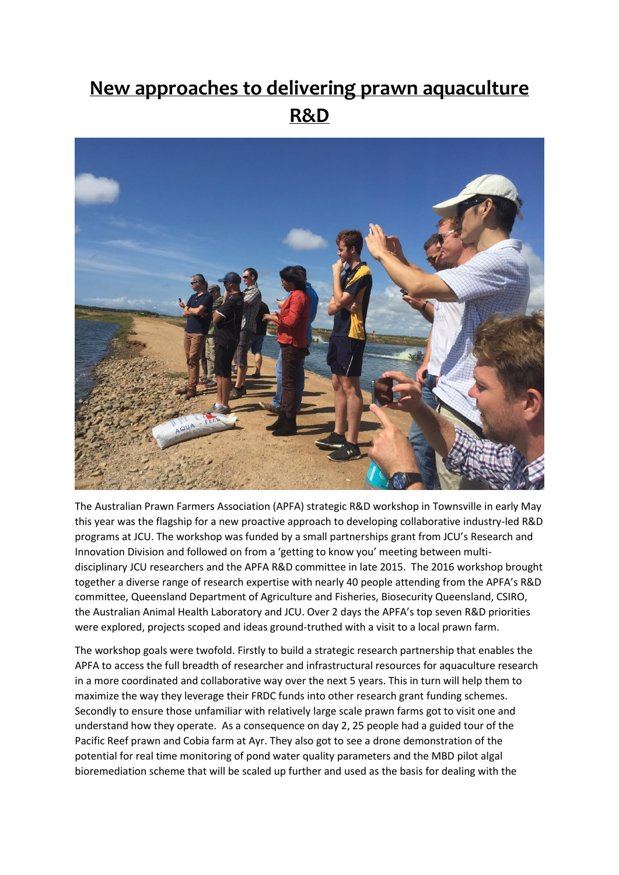## **New approaches to delivering prawn aquaculture R&D**



The Australian Prawn Farmers Association (APFA) strategic R&D workshop in Townsville in early May this year was the flagship for a new proactive approach to developing collaborative industry-led R&D programs at JCU. The workshop was funded by a small partnerships grant from JCU's Research and Innovation Division and followed on from a 'getting to know you' meeting between multidisciplinary JCU researchers and the APFA R&D committee in late 2015. The 2016 workshop brought together a diverse range of research expertise with nearly 40 people attending from the APFA's R&D committee, Queensland Department of Agriculture and Fisheries, Biosecurity Queensland, CSIRO, the Australian Animal Health Laboratory and JCU. Over 2 days the APFA's top seven R&D priorities were explored, projects scoped and ideas ground-truthed with a visit to a local prawn farm.

The workshop goals were twofold. Firstly to build a strategic research partnership that enables the APFA to access the full breadth of researcher and infrastructural resources for aquaculture research in a more coordinated and collaborative way over the next 5 years. This in turn will help them to maximize the way they leverage their FRDC funds into other research grant funding schemes. Secondly to ensure those unfamiliar with relatively large scale prawn farms got to visit one and understand how they operate. As a consequence on day 2, 25 people had a guided tour of the Pacific Reef prawn and Cobia farm at Ayr. They also got to see a drone demonstration of the potential for real time monitoring of pond water quality parameters and the MBD pilot algal bioremediation scheme that will be scaled up further and used as the basis for dealing with the